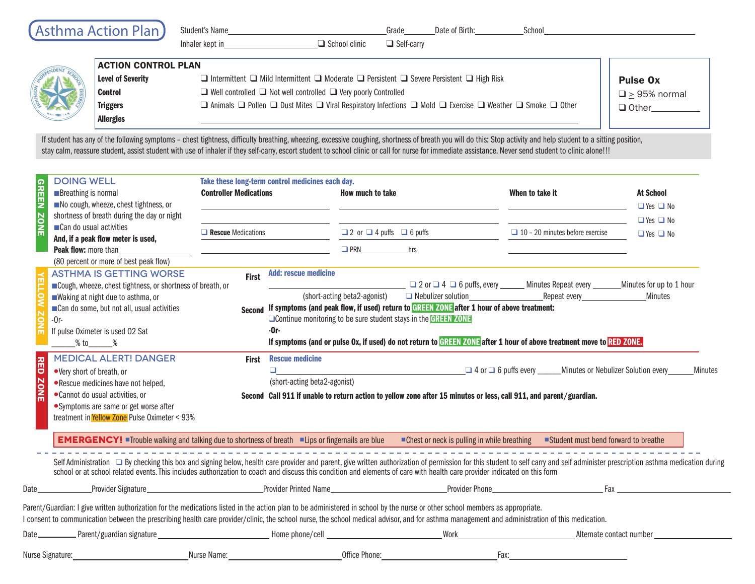|  | (Asthma Action Plan)       | Student's Name<br>Inhaler kept in<br>$\Box$ School clinic                                                                                                                                                   | Date of Birth:<br>Grade<br>$\Box$ Self-carry | School |  |
|--|----------------------------|-------------------------------------------------------------------------------------------------------------------------------------------------------------------------------------------------------------|----------------------------------------------|--------|--|
|  | <b>ACTION CONTROL PLAN</b> |                                                                                                                                                                                                             |                                              |        |  |
|  | Level of Severity          | $\Box$ Intermittent $\Box$ Mild Intermittent $\Box$ Moderate $\Box$ Persistent $\Box$ Severe Persistent $\Box$ High Risk                                                                                    | <b>Pulse Ox</b>                              |        |  |
|  | <b>Control</b>             | $\Box$ Well controlled $\Box$ Not well controlled $\Box$ Very poorly Controlled                                                                                                                             | $\Box$ > 95% normal                          |        |  |
|  | <b>Triggers</b>            | $\Box$ Animals $\Box$ Pollen $\Box$ Dust Mites $\Box$ Viral Respiratory Infections $\Box$ Mold $\Box$ Exercise $\Box$ Weather $\Box$ Smoke $\Box$ Other                                                     | $\Box$ Other                                 |        |  |
|  | <b>Allergies</b>           |                                                                                                                                                                                                             |                                              |        |  |
|  |                            | If atudent has any of the following expertise about tightness difficulty byosthing whoseing experience accepting aboutness of byosth verruill do this. Ctan astivity and halp student to a sitting position |                                              |        |  |

If student has any of the following symptoms - chest tightness, difficulty breathing, wheezing, excessive coughing, shortness of breath you will do this: Stop activity and help student to a sitting position, stay calm, reassure student, assist student with use of inhaler if they self-carry, escort student to school clinic or call for nurse for immediate assistance. Never send student to clinic alone!!!

| <b>GREEN</b>              | <b>DOING WELL</b><br><b>Breathing is normal</b><br>No cough, wheeze, chest tightness, or<br>shortness of breath during the day or night                                                                                                                                                                                                                                                                                                                                                                                                                                                                         | Take these long-term control medicines each day.<br><b>Controller Medications</b>                                     |                                                                                                                                                                                                                                                                                                                                                                                                                                                                                                                                                                                                                                                                                                                                                                                                                                                             | How much to take                          |  | When to take it                                                                                                | <b>At School</b><br>$\Box$ Yes $\Box$ No     |
|---------------------------|-----------------------------------------------------------------------------------------------------------------------------------------------------------------------------------------------------------------------------------------------------------------------------------------------------------------------------------------------------------------------------------------------------------------------------------------------------------------------------------------------------------------------------------------------------------------------------------------------------------------|-----------------------------------------------------------------------------------------------------------------------|-------------------------------------------------------------------------------------------------------------------------------------------------------------------------------------------------------------------------------------------------------------------------------------------------------------------------------------------------------------------------------------------------------------------------------------------------------------------------------------------------------------------------------------------------------------------------------------------------------------------------------------------------------------------------------------------------------------------------------------------------------------------------------------------------------------------------------------------------------------|-------------------------------------------|--|----------------------------------------------------------------------------------------------------------------|----------------------------------------------|
| <b>ZONE</b>               | Can do usual activities<br>And, if a peak flow meter is used,<br>Peak flow: more than<br>(80 percent or more of best peak flow)<br><b>ASTHMA IS GETTING WORSE</b><br>Cough, wheeze, chest tightness, or shortness of breath, or<br>Waking at night due to asthma, or<br>Can do some, but not all, usual activities<br>$-0r-$<br>If pulse Oximeter is used 02 Sat<br>$%$ to $%$<br><b>MEDICAL ALERT! DANGER</b><br>•Very short of breath, or<br>.Rescue medicines have not helped,<br>•Cannot do usual activities, or<br>• Symptoms are same or get worse after<br>treatment in Yellow Zone Pulse Oximeter < 93% | $\Box$ Rescue Medications                                                                                             |                                                                                                                                                                                                                                                                                                                                                                                                                                                                                                                                                                                                                                                                                                                                                                                                                                                             | $\Box$ 2 or $\Box$ 4 puffs $\Box$ 6 puffs |  | $\Box$ 10 - 20 minutes before exercise                                                                         | $\Box$ Yes $\Box$ No<br>$\Box$ Yes $\Box$ No |
|                           |                                                                                                                                                                                                                                                                                                                                                                                                                                                                                                                                                                                                                 | <u> 1999 - John Harry Barn, mars and deutscher Schwarzen und der Schwarzen und der Schwarzen und der Schwarzen un</u> |                                                                                                                                                                                                                                                                                                                                                                                                                                                                                                                                                                                                                                                                                                                                                                                                                                                             | <b>PRN</b> hrs                            |  |                                                                                                                |                                              |
| <b>NED</b><br><b>ZONE</b> |                                                                                                                                                                                                                                                                                                                                                                                                                                                                                                                                                                                                                 |                                                                                                                       | First Add: rescue medicine<br><u>□ 2</u> or □ 4 □ 6 puffs, every _______ Minutes Repeat every ________ Minutes for up to 1 hour<br>(short-acting beta2-agonist)<br><b>a</b> Nebulizer solution <b>Example 2016 Example 2016 Example 2016 Example 2016 Example 2016 Example 2016 Example 2016 Example 2016 Example 2016 Example 2016 Exam</b><br>Minutes<br>Second If symptoms (and peak flow, if used) return to GREEN ZONE after 1 hour of above treatment:<br><b>Continue monitoring to be sure student stays in the GREEN ZONE</b><br>-0r-<br>If symptoms (and or pulse Ox, if used) do not return to GREEN ZONE after 1 hour of above treatment move to RED ZONE.<br><b>First</b> Rescue medicine<br>(short-acting beta2-agonist)<br>Second Call 911 if unable to return action to yellow zone after 15 minutes or less, call 911, and parent/guardian. |                                           |  |                                                                                                                |                                              |
|                           | EMERGENCY! "Trouble walking and talking due to shortness of breath "Lips or fingernails are blue" Chest or neck is pulling in while breathing "Student must bend forward to breathe                                                                                                                                                                                                                                                                                                                                                                                                                             |                                                                                                                       |                                                                                                                                                                                                                                                                                                                                                                                                                                                                                                                                                                                                                                                                                                                                                                                                                                                             |                                           |  |                                                                                                                |                                              |
|                           | Self Administration By checking this box and signing below, health care provider and parent, give written authorization of permission for this student to self carry and self administer prescription asthma medication during<br>school or at school related events. This includes authorization to coach and discuss this condition and elements of care with health care provider indicated on this form                                                                                                                                                                                                     |                                                                                                                       |                                                                                                                                                                                                                                                                                                                                                                                                                                                                                                                                                                                                                                                                                                                                                                                                                                                             |                                           |  |                                                                                                                |                                              |
|                           | <b>Date</b>                                                                                                                                                                                                                                                                                                                                                                                                                                                                                                                                                                                                     |                                                                                                                       |                                                                                                                                                                                                                                                                                                                                                                                                                                                                                                                                                                                                                                                                                                                                                                                                                                                             |                                           |  | Provider Signature Communication Communication Communication Communication Communication Communication Communi |                                              |
|                           | Parent/Guardian: I give written authorization for the medications listed in the action plan to be administered in school by the nurse or other school members as appropriate.<br>consent to communication between the prescribing health care provider/clinic, the school nurse, the school medical advisor, and for asthma management and administration of this medication.                                                                                                                                                                                                                                   |                                                                                                                       |                                                                                                                                                                                                                                                                                                                                                                                                                                                                                                                                                                                                                                                                                                                                                                                                                                                             |                                           |  |                                                                                                                |                                              |
|                           |                                                                                                                                                                                                                                                                                                                                                                                                                                                                                                                                                                                                                 |                                                                                                                       |                                                                                                                                                                                                                                                                                                                                                                                                                                                                                                                                                                                                                                                                                                                                                                                                                                                             |                                           |  |                                                                                                                |                                              |
|                           | Nurse Signature:                                                                                                                                                                                                                                                                                                                                                                                                                                                                                                                                                                                                |                                                                                                                       |                                                                                                                                                                                                                                                                                                                                                                                                                                                                                                                                                                                                                                                                                                                                                                                                                                                             |                                           |  | Fax:                                                                                                           |                                              |